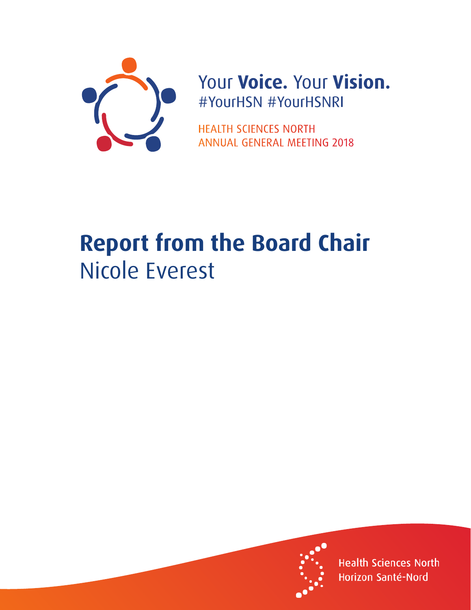

## Your Voice. Your Vision. #YourHSN #YourHSNRI

**HEALTH SCIENCES NORTH ANNUAL GENERAL MEETING 2018** 

## **Report from the Board Chair** Nicole Everest



**Health Sciences North** Horizon Santé-Nord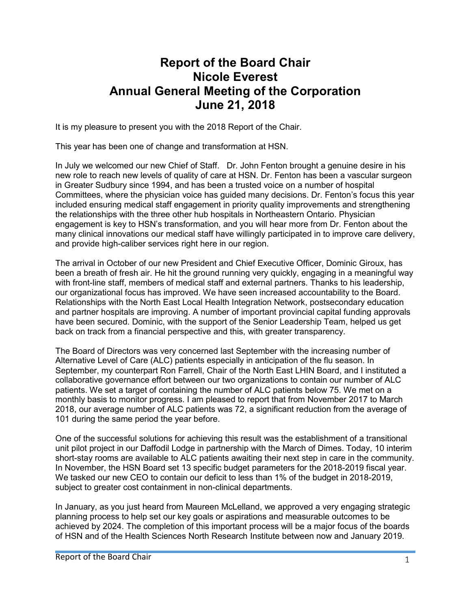## **Report of the Board Chair Nicole Everest Annual General Meeting of the Corporation June 21, 2018**

It is my pleasure to present you with the 2018 Report of the Chair.

This year has been one of change and transformation at HSN.

In July we welcomed our new Chief of Staff. Dr. John Fenton brought a genuine desire in his new role to reach new levels of quality of care at HSN. Dr. Fenton has been a vascular surgeon in Greater Sudbury since 1994, and has been a trusted voice on a number of hospital Committees, where the physician voice has guided many decisions. Dr. Fenton's focus this year included ensuring medical staff engagement in priority quality improvements and strengthening the relationships with the three other hub hospitals in Northeastern Ontario. Physician engagement is key to HSN's transformation, and you will hear more from Dr. Fenton about the many clinical innovations our medical staff have willingly participated in to improve care delivery, and provide high-caliber services right here in our region.

The arrival in October of our new President and Chief Executive Officer, Dominic Giroux, has been a breath of fresh air. He hit the ground running very quickly, engaging in a meaningful way with front-line staff, members of medical staff and external partners. Thanks to his leadership, our organizational focus has improved. We have seen increased accountability to the Board. Relationships with the North East Local Health Integration Network, postsecondary education and partner hospitals are improving. A number of important provincial capital funding approvals have been secured. Dominic, with the support of the Senior Leadership Team, helped us get back on track from a financial perspective and this, with greater transparency.

The Board of Directors was very concerned last September with the increasing number of Alternative Level of Care (ALC) patients especially in anticipation of the flu season. In September, my counterpart Ron Farrell, Chair of the North East LHIN Board, and I instituted a collaborative governance effort between our two organizations to contain our number of ALC patients. We set a target of containing the number of ALC patients below 75. We met on a monthly basis to monitor progress. I am pleased to report that from November 2017 to March 2018, our average number of ALC patients was 72, a significant reduction from the average of 101 during the same period the year before.

One of the successful solutions for achieving this result was the establishment of a transitional unit pilot project in our Daffodil Lodge in partnership with the March of Dimes. Today, 10 interim short-stay rooms are available to ALC patients awaiting their next step in care in the community. In November, the HSN Board set 13 specific budget parameters for the 2018-2019 fiscal year. We tasked our new CEO to contain our deficit to less than 1% of the budget in 2018-2019, subject to greater cost containment in non-clinical departments.

In January, as you just heard from Maureen McLelland, we approved a very engaging strategic planning process to help set our key goals or aspirations and measurable outcomes to be achieved by 2024. The completion of this important process will be a major focus of the boards of HSN and of the Health Sciences North Research Institute between now and January 2019.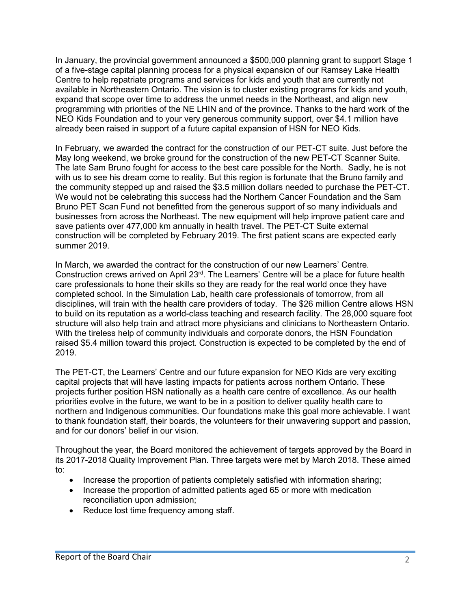In January, the provincial government announced a \$500,000 planning grant to support Stage 1 of a five-stage capital planning process for a physical expansion of our Ramsey Lake Health Centre to help repatriate programs and services for kids and youth that are currently not available in Northeastern Ontario. The vision is to cluster existing programs for kids and youth, expand that scope over time to address the unmet needs in the Northeast, and align new programming with priorities of the NE LHIN and of the province. Thanks to the hard work of the NEO Kids Foundation and to your very generous community support, over \$4.1 million have already been raised in support of a future capital expansion of HSN for NEO Kids.

In February, we awarded the contract for the construction of our PET-CT suite. Just before the May long weekend, we broke ground for the construction of the new PET-CT Scanner Suite. The late Sam Bruno fought for access to the best care possible for the North. Sadly, he is not with us to see his dream come to reality. But this region is fortunate that the Bruno family and the community stepped up and raised the \$3.5 million dollars needed to purchase the PET-CT. We would not be celebrating this success had the Northern Cancer Foundation and the Sam Bruno PET Scan Fund not benefitted from the generous support of so many individuals and businesses from across the Northeast. The new equipment will help improve patient care and save patients over 477,000 km annually in health travel. The PET-CT Suite external construction will be completed by February 2019. The first patient scans are expected early summer 2019.

In March, we awarded the contract for the construction of our new Learners' Centre. Construction crews arrived on April 23<sup>rd</sup>. The Learners' Centre will be a place for future health care professionals to hone their skills so they are ready for the real world once they have completed school. In the Simulation Lab, health care professionals of tomorrow, from all disciplines, will train with the health care providers of today. The \$26 million Centre allows HSN to build on its reputation as a world-class teaching and research facility. The 28,000 square foot structure will also help train and attract more physicians and clinicians to Northeastern Ontario. With the tireless help of community individuals and corporate donors, the HSN Foundation raised \$5.4 million toward this project. Construction is expected to be completed by the end of 2019.

The PET-CT, the Learners' Centre and our future expansion for NEO Kids are very exciting capital projects that will have lasting impacts for patients across northern Ontario. These projects further position HSN nationally as a health care centre of excellence. As our health priorities evolve in the future, we want to be in a position to deliver quality health care to northern and Indigenous communities. Our foundations make this goal more achievable. I want to thank foundation staff, their boards, the volunteers for their unwavering support and passion, and for our donors' belief in our vision.

Throughout the year, the Board monitored the achievement of targets approved by the Board in its 2017-2018 Quality Improvement Plan. Three targets were met by March 2018. These aimed to:

- Increase the proportion of patients completely satisfied with information sharing;
- Increase the proportion of admitted patients aged 65 or more with medication reconciliation upon admission;
- Reduce lost time frequency among staff.